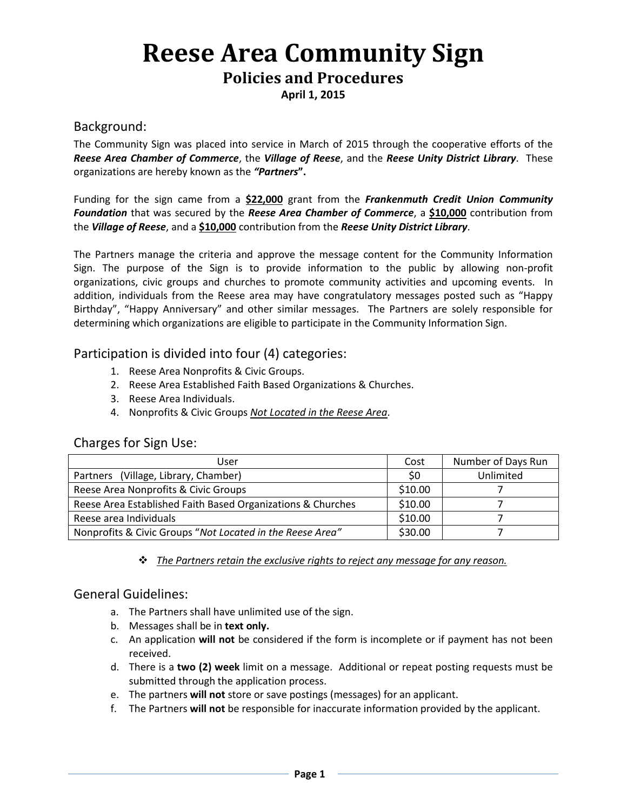# **Reese Area Community Sign**

## **Policies and Procedures**

**April 1, 2015**

### Background:

The Community Sign was placed into service in March of 2015 through the cooperative efforts of the *Reese Area Chamber of Commerce*, the *Village of Reese*, and the *Reese Unity District Library*. These organizations are hereby known as the *"Partners***".**

Funding for the sign came from a **\$22,000** grant from the *Frankenmuth Credit Union Community Foundation* that was secured by the *Reese Area Chamber of Commerce*, a **\$10,000** contribution from the *Village of Reese*, and a **\$10,000** contribution from the *Reese Unity District Library*.

The Partners manage the criteria and approve the message content for the Community Information Sign. The purpose of the Sign is to provide information to the public by allowing non-profit organizations, civic groups and churches to promote community activities and upcoming events. In addition, individuals from the Reese area may have congratulatory messages posted such as "Happy Birthday", "Happy Anniversary" and other similar messages. The Partners are solely responsible for determining which organizations are eligible to participate in the Community Information Sign.

### Participation is divided into four (4) categories:

- 1. Reese Area Nonprofits & Civic Groups.
- 2. Reese Area Established Faith Based Organizations & Churches.
- 3. Reese Area Individuals.
- 4. Nonprofits & Civic Groups *Not Located in the Reese Area*.

### Charges for Sign Use:

| User                                                        | Cost    | Number of Days Run |
|-------------------------------------------------------------|---------|--------------------|
| Partners (Village, Library, Chamber)                        | \$0     | Unlimited          |
| Reese Area Nonprofits & Civic Groups                        | \$10.00 |                    |
| Reese Area Established Faith Based Organizations & Churches | \$10.00 |                    |
| Reese area Individuals                                      | \$10.00 |                    |
| Nonprofits & Civic Groups "Not Located in the Reese Area"   | \$30.00 |                    |

*The Partners retain the exclusive rights to reject any message for any reason.*

### General Guidelines:

- a. The Partners shall have unlimited use of the sign.
- b. Messages shall be in **text only.**
- c. An application **will not** be considered if the form is incomplete or if payment has not been received.
- d. There is a **two (2) week** limit on a message. Additional or repeat posting requests must be submitted through the application process.
- e. The partners **will not** store or save postings (messages) for an applicant.
- f. The Partners **will not** be responsible for inaccurate information provided by the applicant.